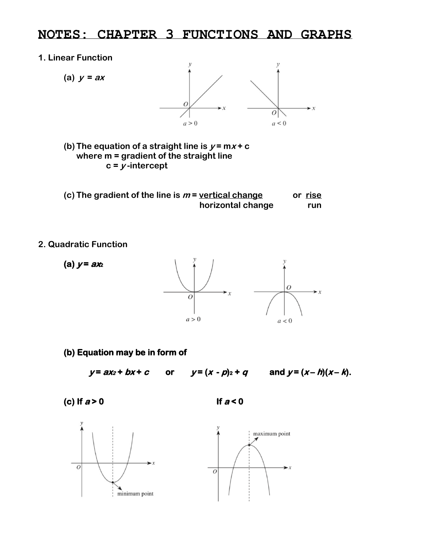## **NOTES: CHAPTER 3 FUNCTIONS AND GRAPHS**

## **1. Linear Function**



**(b)** The equation of a straight line is  $y = mx + c$ **where m = gradient of the straight line**  $c = y$ -intercept

| (c) The gradient of the line is $m$ = vertical change | or rise |
|-------------------------------------------------------|---------|
| horizontal change                                     | run     |

## **2. Quadratic Function**



**(b) Equation may be in form of** 

 $y = ax_2 + bx + c$  or  $y = (x - p)2 + q$  and  $y = (x - h)(x - k)$ .

**(c) If a > 0 If a < 0**